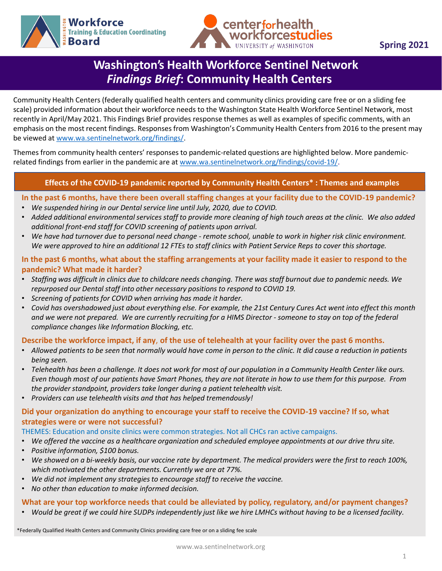



# **Washington's Health Workforce Sentinel Network**  *Findings Brief***: Community Health Centers**

Community Health Centers (federally qualified health centers and community clinics providing care free or on a sliding fee scale) provided information about their workforce needs to the Washington State Health Workforce Sentinel Network, most recently in April/May 2021. This Findings Brief provides response themes as well as examples of specific comments, with an emphasis on the most recent findings. Responses from Washington's Community Health Centers from 2016 to the present may be viewed at [www.wa.sentinelnetwork.org/findings/.](http://www.wa.sentinelnetwork.org/findings/)

Themes from community health centers' responses to pandemic-related questions are highlighted below. More pandemicrelated findings from earlier in the pandemic are at [www.wa.sentinelnetwork.org/findings/covid-19/](https://wa.sentinelnetwork.org/findings/covid-19/).

### **Effects of the COVID-19 pandemic reported by Community Health Centers\* : Themes and examples**

**In the past 6 months, have there been overall staffing changes at your facility due to the COVID-19 pandemic?** 

- *We suspended hiring in our Dental service line until July, 2020, due to COVID.*
- *Added additional environmental services staff to provide more cleaning of high touch areas at the clinic. We also added additional front-end staff for COVID screening of patients upon arrival.*
- *We have had turnover due to personal need change - remote school, unable to work in higher risk clinic environment. We were approved to hire an additional 12 FTEs to staff clinics with Patient Service Reps to cover this shortage.*

## **In the past 6 months, what about the staffing arrangements at your facility made it easier to respond to the pandemic? What made it harder?**

- *Staffing was difficult in clinics due to childcare needs changing. There was staff burnout due to pandemic needs. We repurposed our Dental staff into other necessary positions to respond to COVID 19.*
- *Screening of patients for COVID when arriving has made it harder.*
- *Covid has overshadowed just about everything else. For example, the 21st Century Cures Act went into effect this month and we were not prepared. We are currently recruiting for a HIMS Director - someone to stay on top of the federal compliance changes like Information Blocking, etc.*

### **Describe the workforce impact, if any**, **of the use of telehealth at your facility over the past 6 months.**

- *Allowed patients to be seen that normally would have come in person to the clinic. It did cause a reduction in patients being seen.*
- *Telehealth has been a challenge. It does not work for most of our population in a Community Health Center like ours. Even though most of our patients have Smart Phones, they are not literate in how to use them for this purpose. From the provider standpoint, providers take longer during a patient telehealth visit.*
- *Providers can use telehealth visits and that has helped tremendously!*

### **Did your organization do anything to encourage your staff to receive the COVID-19 vaccine? If so, what strategies were or were not successful?**

### THEMES: Education and onsite clinics were common strategies. Not all CHCs ran active campaigns.

- *We offered the vaccine as a healthcare organization and scheduled employee appointments at our drive thru site.*
- *Positive information, \$100 bonus.*
- *We showed on a bi-weekly basis, our vaccine rate by department. The medical providers were the first to reach 100%, which motivated the other departments. Currently we are at 77%.*
- *We did not implement any strategies to encourage staff to receive the vaccine.*
- *No other than education to make informed decision.*

### **What are your top workforce needs that could be alleviated by policy, regulatory, and/or payment changes?**

• *Would be great if we could hire SUDPs independently just like we hire LMHCs without having to be a licensed facility.*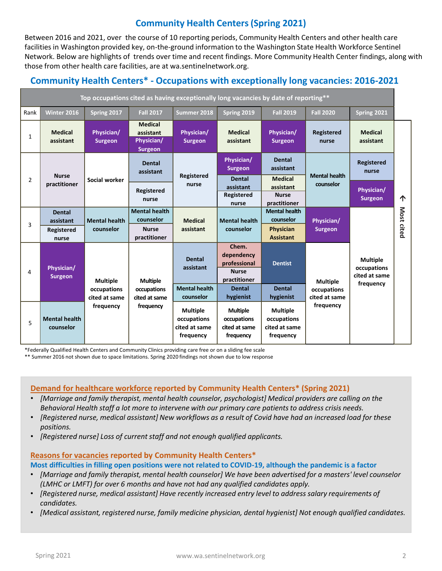# **Community Health Centers (Spring 2021)**

Between 2016 and 2021, over the course of 10 reporting periods, Community Health Centers and other health care facilities in Washington provided key, on-the-ground information to the Washington State Health Workforce Sentinel Network. Below are highlights of trends over time and recent findings. More Community Health Center findings, along with those from other health care facilities, are at wa.sentinelnetwork.org.

# **Community Health Centers\* - Occupations with exceptionally long vacancies: 2016-2021**

| Top occupations cited as having exceptionally long vacancies by date of reporting** |                                                          |                                                              |                                                                   |                                                              |                                                                                       |                                                                    |                                                              |                              |            |
|-------------------------------------------------------------------------------------|----------------------------------------------------------|--------------------------------------------------------------|-------------------------------------------------------------------|--------------------------------------------------------------|---------------------------------------------------------------------------------------|--------------------------------------------------------------------|--------------------------------------------------------------|------------------------------|------------|
| Rank                                                                                | Winter 2016                                              | Spring 2017                                                  | <b>Fall 2017</b>                                                  | Summer 2018                                                  | Spring 2019                                                                           | <b>Fall 2019</b>                                                   | <b>Fall 2020</b>                                             | Spring 2021                  |            |
| 1                                                                                   | <b>Medical</b><br>assistant                              | Physician/<br><b>Surgeon</b>                                 | <b>Medical</b><br>assistant<br>Physician/<br><b>Surgeon</b>       | Physician/<br><b>Surgeon</b>                                 | <b>Medical</b><br>assistant                                                           | Physician/<br><b>Surgeon</b>                                       | <b>Registered</b><br>nurse                                   | <b>Medical</b><br>assistant  |            |
| $\overline{2}$                                                                      | <b>Nurse</b><br>practitioner                             | Social worker                                                | <b>Dental</b><br>assistant                                        | Registered<br>nurse                                          | Physician/<br><b>Surgeon</b><br><b>Dental</b>                                         | <b>Dental</b><br>assistant<br><b>Medical</b>                       | <b>Mental health</b><br>counselor                            | <b>Registered</b><br>nurse   | 个          |
|                                                                                     |                                                          |                                                              | Registered<br>nurse                                               |                                                              | assistant<br>Registered<br>nurse                                                      | assistant<br><b>Nurse</b><br>practitioner                          |                                                              | Physician/<br><b>Surgeon</b> |            |
| 3                                                                                   | <b>Dental</b><br>assistant<br><b>Registered</b><br>nurse | <b>Mental health</b><br>counselor                            | <b>Mental health</b><br>counselor<br><b>Nurse</b><br>practitioner | <b>Medical</b><br>assistant                                  | <b>Mental health</b><br>counselor                                                     | <b>Mental health</b><br>counselor<br>Physician<br><b>Assistant</b> | Physician/<br><b>Surgeon</b>                                 |                              | Most cited |
| 4                                                                                   | Physician/<br><b>Surgeon</b>                             | <b>Multiple</b><br>occupations<br>cited at same<br>frequency | <b>Multiple</b><br>occupations<br>cited at same<br>frequency      | <b>Dental</b><br>assistant                                   | Chem.<br>dependency<br>professional<br><b>Dentist</b><br><b>Nurse</b><br>practitioner | <b>Multiple</b>                                                    | <b>Multiple</b><br>occupations<br>cited at same<br>frequency |                              |            |
|                                                                                     |                                                          |                                                              |                                                                   | <b>Mental health</b><br>counselor                            | <b>Dental</b><br>hygienist                                                            | <b>Dental</b><br>hygienist                                         | occupations<br>cited at same<br>frequency                    |                              |            |
| 5                                                                                   | <b>Mental health</b><br>counselor                        |                                                              |                                                                   | <b>Multiple</b><br>occupations<br>cited at same<br>frequency | <b>Multiple</b><br>occupations<br>cited at same<br>frequency                          | <b>Multiple</b><br>occupations<br>cited at same<br>frequency       |                                                              |                              |            |

\*Federally Qualified Health Centers and Community Clinics providing care free or on a sliding fee scale

\*\* Summer 2016 not shown due to space limitations. Spring 2020 findings not shown due to low response

### **Demand for healthcare workforce reported by Community Health Centers\* (Spring 2021)**

- *[Marriage and family therapist, mental health counselor, psychologist] Medical providers are calling on the Behavioral Health staff a lot more to intervene with our primary care patients to address crisis needs.*
- *[Registered nurse, medical assistant] New workflows as a result of Covid have had an increased load for these positions.*
- *[Registered nurse] Loss of current staff and not enough qualified applicants.*

### **Reasons for vacancies reported by Community Health Centers\***

**Most difficulties in filling open positions were not related to COVID-19, although the pandemic is a factor**

- *[Marriage and family therapist, mental health counselor] We have been advertised for a masters' level counselor (LMHC or LMFT) for over 6 months and have not had any qualified candidates apply.*
- *[Registered nurse, medical assistant] Have recently increased entry level to address salary requirements of candidates.*
- *[Medical assistant, registered nurse, family medicine physician, dental hygienist] Not enough qualified candidates.*